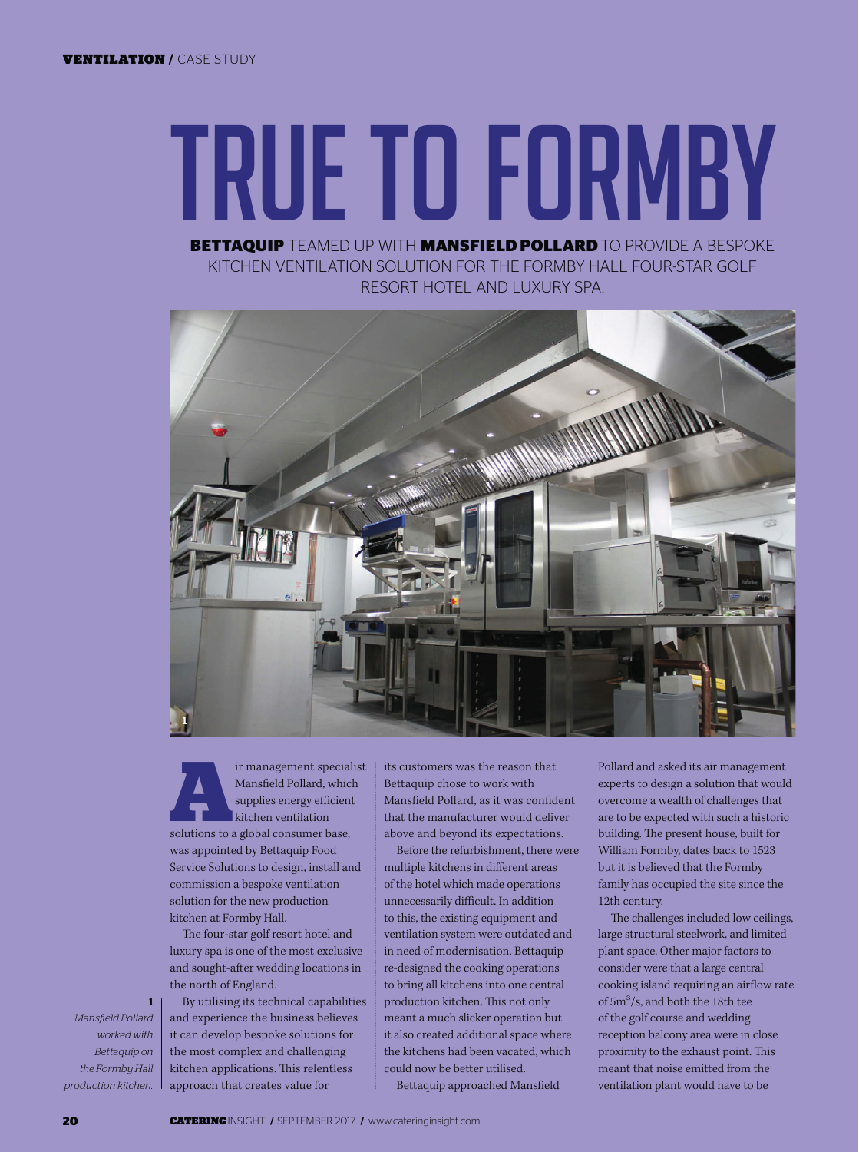## **BETTAQUIP** TEAMED UP WITH **MANSFIELD POLLARD** TO PROVIDE A BESPOKE TRUE TO FORMBY

KITCHEN VENTILATION SOLUTION FOR THE FORMBY HALL FOUR-STAR GOLF RESORT HOTEL AND LUXURY SPA.



Franagement specialist<br>
Mansfield Pollard, which<br>
supplies energy efficient<br>
kitchen ventilation<br>
solutions to a global consumer base, Mansfield Pollard, which supplies energy efficient kitchen ventilation was appointed by Bettaquip Food Service Solutions to design, install and commission a bespoke ventilation solution for the new production kitchen at Formby Hall.

The four-star golf resort hotel and luxury spa is one of the most exclusive and sought-after wedding locations in the north of England.

*Mansfield Pollard worked with Bettaquip* on the Formbu Hall production kitchen.

1

By utilising its technical capabilities and experience the business believes it can develop bespoke solutions for the most complex and challenging kitchen applications. This relentless approach that creates value for

its customers was the reason that Bettaquip chose to work with Mansfield Pollard, as it was confident that the manufacturer would deliver above and beyond its expectations.

Before the refurbishment, there were multiple kitchens in different areas of the hotel which made operations unnecessarily difficult. In addition to this, the existing equipment and ventilation system were outdated and in need of modernisation. Bettaquip re-designed the cooking operations to bring all kitchens into one central production kitchen. This not only meant a much slicker operation but it also created additional space where the kitchens had been vacated, which could now be better utilised.

Bettaquip approached Mansfield

Pollard and asked its air management experts to design a solution that would overcome a wealth of challenges that are to be expected with such a historic building. The present house, built for William Formby, dates back to 1523 but it is believed that the Formby family has occupied the site since the 12th century.

The challenges included low ceilings, large structural steelwork, and limited plant space. Other major factors to consider were that a large central cooking island requiring an airflow rate of 5m3/s, and both the 18th tee of the golf course and wedding reception balcony area were in close proximity to the exhaust point. This meant that noise emitted from the ventilation plant would have to be